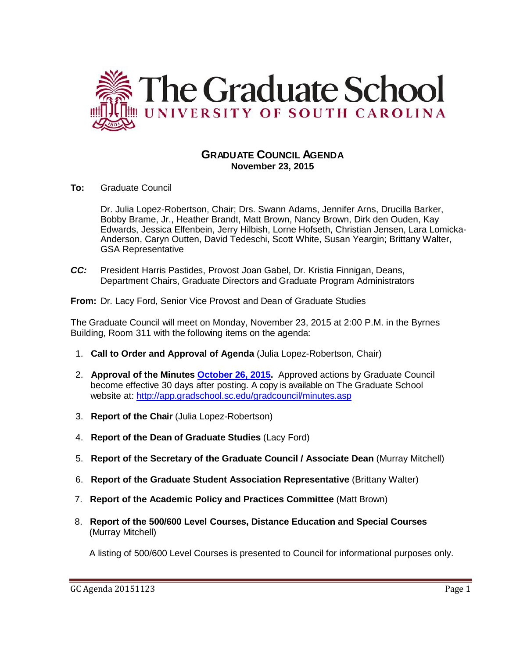

# **GRADUATE COUNCIL AGENDA November 23, 2015**

**To:** Graduate Council

Dr. Julia Lopez-Robertson, Chair; Drs. Swann Adams, Jennifer Arns, Drucilla Barker, Bobby Brame, Jr., Heather Brandt, Matt Brown, Nancy Brown, Dirk den Ouden, Kay Edwards, Jessica Elfenbein, Jerry Hilbish, Lorne Hofseth, Christian Jensen, Lara Lomicka-Anderson, Caryn Outten, David Tedeschi, Scott White, Susan Yeargin; Brittany Walter, GSA Representative

*CC:* President Harris Pastides, Provost Joan Gabel, Dr. Kristia Finnigan, Deans, Department Chairs, Graduate Directors and Graduate Program Administrators

**From:** Dr. Lacy Ford, Senior Vice Provost and Dean of Graduate Studies

The Graduate Council will meet on Monday, November 23, 2015 at 2:00 P.M. in the Byrnes Building, Room 311 with the following items on the agenda:

- 1. **Call to Order and Approval of Agenda** (Julia Lopez-Robertson, Chair)
- 2. **Approval of the Minutes [October 26, 2015.](http://gradschool.sc.edu/facstaff/gradcouncil/2015/GC%20AGENDA%20October%2026,%202015final.pdf)** Approved actions by Graduate Council become effective 30 days after posting. A copy is available on The Graduate School website at:<http://app.gradschool.sc.edu/gradcouncil/minutes.asp>
- 3. **Report of the Chair** (Julia Lopez-Robertson)
- 4. **Report of the Dean of Graduate Studies** (Lacy Ford)
- 5. **Report of the Secretary of the Graduate Council / Associate Dean** (Murray Mitchell)
- 6. **Report of the Graduate Student Association Representative** (Brittany Walter)
- 7. **Report of the Academic Policy and Practices Committee** (Matt Brown)
- 8. **Report of the 500/600 Level Courses, Distance Education and Special Courses** (Murray Mitchell)

A listing of 500/600 Level Courses is presented to Council for informational purposes only.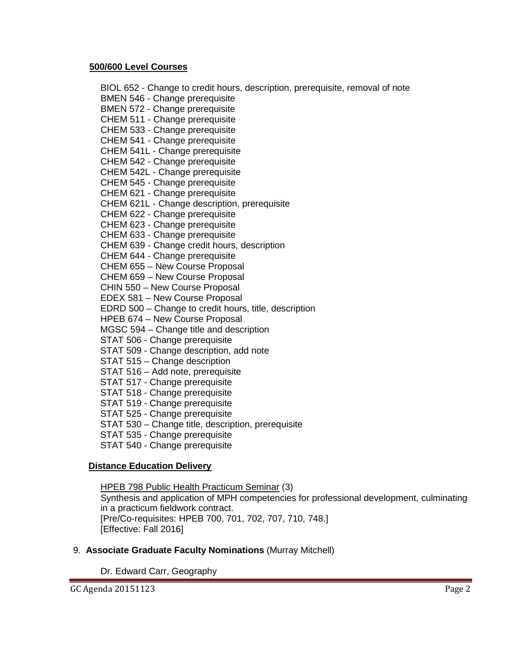#### **500/600 Level Courses**

BIOL 652 - Change to credit hours, description, prerequisite, removal of note BMEN 546 - Change prerequisite BMEN 572 - Change prerequisite CHEM 511 - Change prerequisite CHEM 533 - Change prerequisite CHEM 541 - Change prerequisite CHEM 541L - Change prerequisite CHEM 542 - Change prerequisite CHEM 542L - Change prerequisite CHEM 545 - Change prerequisite CHEM 621 - Change prerequisite CHEM 621L - Change description, prerequisite CHEM 622 - Change prerequisite CHEM 623 - Change prerequisite CHEM 633 - Change prerequisite CHEM 639 - Change credit hours, description CHEM 644 - Change prerequisite CHEM 655 – New Course Proposal CHEM 659 – New Course Proposal CHIN 550 – New Course Proposal EDEX 581 – New Course Proposal EDRD 500 – Change to credit hours, title, description HPEB 674 – New Course Proposal MGSC 594 – Change title and description STAT 506 - Change prerequisite STAT 509 - Change description, add note STAT 515 – Change description STAT 516 – Add note, prerequisite STAT 517 - Change prerequisite STAT 518 - Change prerequisite STAT 519 - Change prerequisite STAT 525 - Change prerequisite STAT 530 – Change title, description, prerequisite STAT 535 - Change prerequisite STAT 540 - Change prerequisite

#### **Distance Education Delivery**

HPEB 798 Public Health Practicum Seminar (3)

Synthesis and application of MPH competencies for professional development, culminating in a practicum fieldwork contract. [Pre/Co-requisites: HPEB 700, 701, 702, 707, 710, 748.] [Effective: Fall 2016]

#### 9. **Associate Graduate Faculty Nominations** (Murray Mitchell)

Dr. Edward Carr, Geography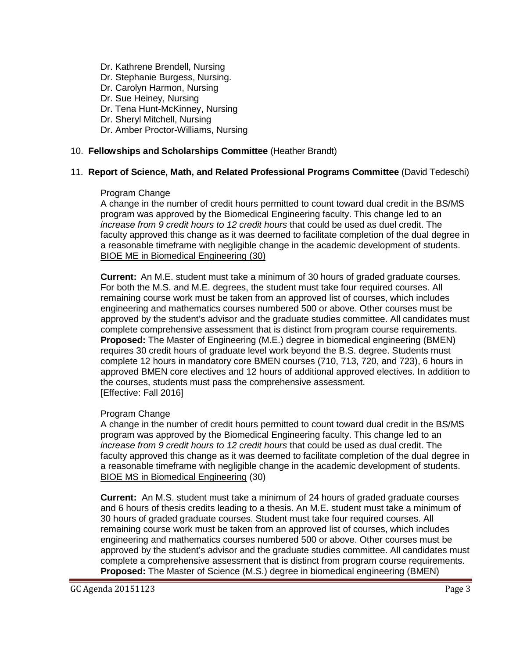- Dr. Kathrene Brendell, Nursing
- Dr. Stephanie Burgess, Nursing.
- Dr. Carolyn Harmon, Nursing
- Dr. Sue Heiney, Nursing
- Dr. Tena Hunt-McKinney, Nursing
- Dr. Sheryl Mitchell, Nursing
- Dr. Amber Proctor-Williams, Nursing

#### 10. **Fellowships and Scholarships Committee** (Heather Brandt)

### 11. **Report of Science, Math, and Related Professional Programs Committee** (David Tedeschi)

#### Program Change

A change in the number of credit hours permitted to count toward dual credit in the BS/MS program was approved by the Biomedical Engineering faculty. This change led to an *increase from 9 credit hours to 12 credit hours* that could be used as duel credit. The faculty approved this change as it was deemed to facilitate completion of the dual degree in a reasonable timeframe with negligible change in the academic development of students. BIOE ME in Biomedical Engineering (30)

**Current:** An M.E. student must take a minimum of 30 hours of graded graduate courses. For both the M.S. and M.E. degrees, the student must take four required courses. All remaining course work must be taken from an approved list of courses, which includes engineering and mathematics courses numbered 500 or above. Other courses must be approved by the student's advisor and the graduate studies committee. All candidates must complete comprehensive assessment that is distinct from program course requirements. **Proposed:** The Master of Engineering (M.E.) degree in biomedical engineering (BMEN) requires 30 credit hours of graduate level work beyond the B.S. degree. Students must complete 12 hours in mandatory core BMEN courses (710, 713, 720, and 723), 6 hours in approved BMEN core electives and 12 hours of additional approved electives. In addition to the courses, students must pass the comprehensive assessment. [Effective: Fall 2016]

#### Program Change

A change in the number of credit hours permitted to count toward dual credit in the BS/MS program was approved by the Biomedical Engineering faculty. This change led to an *increase from 9 credit hours to 12 credit hours* that could be used as dual credit. The faculty approved this change as it was deemed to facilitate completion of the dual degree in a reasonable timeframe with negligible change in the academic development of students. BIOE MS in Biomedical Engineering (30)

**Current:** An M.S. student must take a minimum of 24 hours of graded graduate courses and 6 hours of thesis credits leading to a thesis. An M.E. student must take a minimum of 30 hours of graded graduate courses. Student must take four required courses. All remaining course work must be taken from an approved list of courses, which includes engineering and mathematics courses numbered 500 or above. Other courses must be approved by the student's advisor and the graduate studies committee. All candidates must complete a comprehensive assessment that is distinct from program course requirements. **Proposed:** The Master of Science (M.S.) degree in biomedical engineering (BMEN)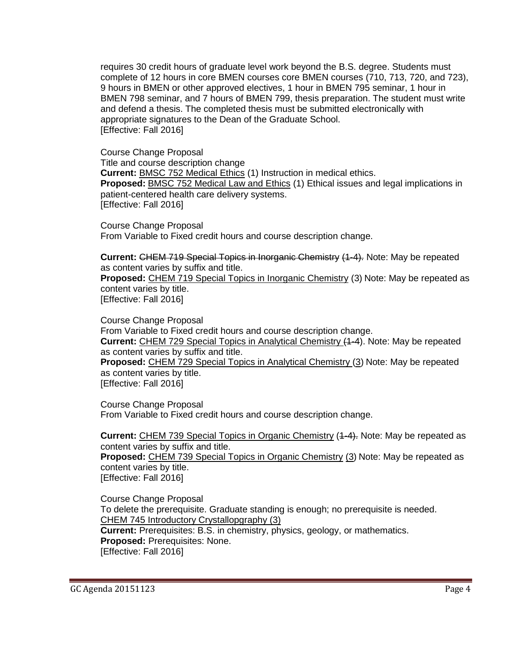requires 30 credit hours of graduate level work beyond the B.S. degree. Students must complete of 12 hours in core BMEN courses core BMEN courses (710, 713, 720, and 723), 9 hours in BMEN or other approved electives, 1 hour in BMEN 795 seminar, 1 hour in BMEN 798 seminar, and 7 hours of BMEN 799, thesis preparation. The student must write and defend a thesis. The completed thesis must be submitted electronically with appropriate signatures to the Dean of the Graduate School. [Effective: Fall 2016]

Course Change Proposal Title and course description change **Current:** BMSC 752 Medical Ethics (1) Instruction in medical ethics. **Proposed:** BMSC 752 Medical Law and Ethics (1) Ethical issues and legal implications in patient-centered health care delivery systems. [Effective: Fall 2016]

Course Change Proposal From Variable to Fixed credit hours and course description change.

**Current:** CHEM 719 Special Topics in Inorganic Chemistry (1-4). Note: May be repeated as content varies by suffix and title.

**Proposed:** CHEM 719 Special Topics in Inorganic Chemistry (3) Note: May be repeated as content varies by title. [Effective: Fall 2016]

Course Change Proposal From Variable to Fixed credit hours and course description change. **Current:** CHEM 729 Special Topics in Analytical Chemistry (1-4). Note: May be repeated as content varies by suffix and title. **Proposed:** CHEM 729 Special Topics in Analytical Chemistry (3) Note: May be repeated as content varies by title. [Effective: Fall 2016]

Course Change Proposal From Variable to Fixed credit hours and course description change.

**Current:** CHEM 739 Special Topics in Organic Chemistry (4-4). Note: May be repeated as content varies by suffix and title. **Proposed:** CHEM 739 Special Topics in Organic Chemistry (3) Note: May be repeated as

content varies by title. [Effective: Fall 2016]

Course Change Proposal To delete the prerequisite. Graduate standing is enough; no prerequisite is needed. CHEM 745 Introductory Crystallopgraphy (3) **Current:** Prerequisites: B.S. in chemistry, physics, geology, or mathematics. **Proposed:** Prerequisites: None. [Effective: Fall 2016]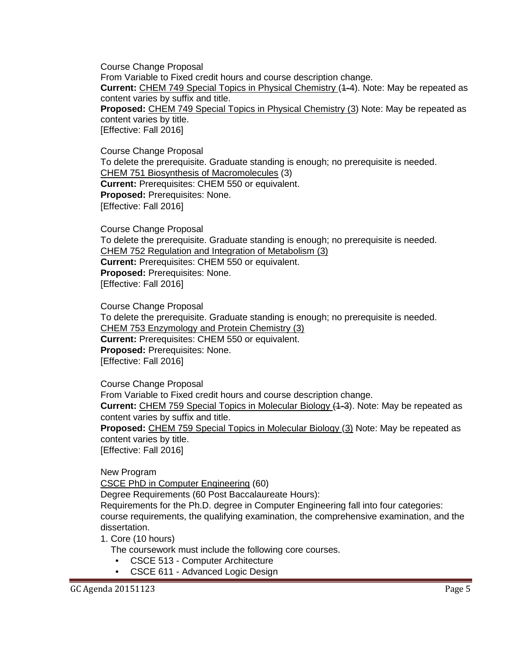Course Change Proposal From Variable to Fixed credit hours and course description change. **Current:** CHEM 749 Special Topics in Physical Chemistry (1-4). Note: May be repeated as content varies by suffix and title. **Proposed:** CHEM 749 Special Topics in Physical Chemistry (3) Note: May be repeated as content varies by title. [Effective: Fall 2016]

Course Change Proposal To delete the prerequisite. Graduate standing is enough; no prerequisite is needed. CHEM 751 Biosynthesis of Macromolecules (3) **Current:** Prerequisites: CHEM 550 or equivalent. **Proposed:** Prerequisites: None. [Effective: Fall 2016]

Course Change Proposal To delete the prerequisite. Graduate standing is enough; no prerequisite is needed. CHEM 752 Regulation and Integration of Metabolism (3) **Current:** Prerequisites: CHEM 550 or equivalent. **Proposed:** Prerequisites: None. [Effective: Fall 2016]

Course Change Proposal To delete the prerequisite. Graduate standing is enough; no prerequisite is needed. CHEM 753 Enzymology and Protein Chemistry (3) **Current:** Prerequisites: CHEM 550 or equivalent. **Proposed:** Prerequisites: None. [Effective: Fall 2016]

Course Change Proposal

From Variable to Fixed credit hours and course description change.

**Current:** CHEM 759 Special Topics in Molecular Biology (1-3). Note: May be repeated as content varies by suffix and title.

**Proposed:** CHEM 759 Special Topics in Molecular Biology (3) Note: May be repeated as content varies by title.

[Effective: Fall 2016]

New Program

CSCE PhD in Computer Engineering (60)

Degree Requirements (60 Post Baccalaureate Hours):

Requirements for the Ph.D. degree in Computer Engineering fall into four categories:

course requirements, the qualifying examination, the comprehensive examination, and the dissertation.

1. Core (10 hours)

The coursework must include the following core courses.

- CSCE 513 Computer Architecture
- CSCE 611 Advanced Logic Design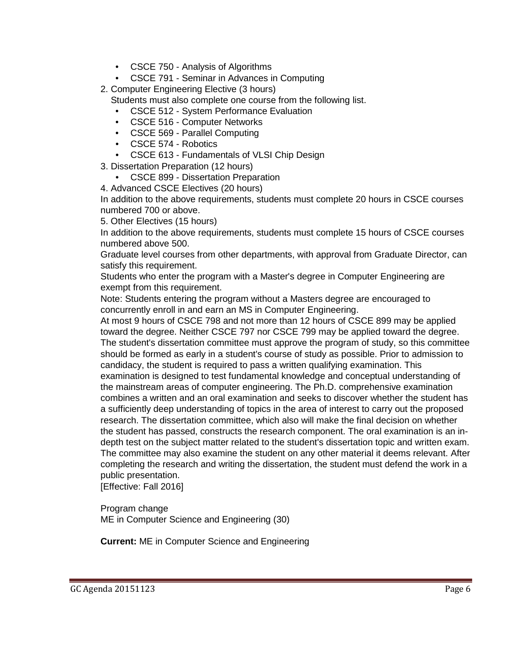- CSCE 750 Analysis of Algorithms
- CSCE 791 Seminar in Advances in Computing
- 2. Computer Engineering Elective (3 hours)

Students must also complete one course from the following list.

- CSCE 512 System Performance Evaluation
- CSCE 516 Computer Networks
- CSCE 569 Parallel Computing
- CSCE 574 Robotics
- CSCE 613 Fundamentals of VLSI Chip Design

3. Dissertation Preparation (12 hours)

- CSCE 899 Dissertation Preparation
- 4. Advanced CSCE Electives (20 hours)

In addition to the above requirements, students must complete 20 hours in CSCE courses numbered 700 or above.

5. Other Electives (15 hours)

In addition to the above requirements, students must complete 15 hours of CSCE courses numbered above 500.

Graduate level courses from other departments, with approval from Graduate Director, can satisfy this requirement.

Students who enter the program with a Master's degree in Computer Engineering are exempt from this requirement.

Note: Students entering the program without a Masters degree are encouraged to concurrently enroll in and earn an MS in Computer Engineering.

At most 9 hours of CSCE 798 and not more than 12 hours of CSCE 899 may be applied toward the degree. Neither CSCE 797 nor CSCE 799 may be applied toward the degree. The student's dissertation committee must approve the program of study, so this committee should be formed as early in a student's course of study as possible. Prior to admission to candidacy, the student is required to pass a written qualifying examination. This examination is designed to test fundamental knowledge and conceptual understanding of the mainstream areas of computer engineering. The Ph.D. comprehensive examination combines a written and an oral examination and seeks to discover whether the student has a sufficiently deep understanding of topics in the area of interest to carry out the proposed research. The dissertation committee, which also will make the final decision on whether the student has passed, constructs the research component. The oral examination is an indepth test on the subject matter related to the student's dissertation topic and written exam. The committee may also examine the student on any other material it deems relevant. After completing the research and writing the dissertation, the student must defend the work in a public presentation.

[Effective: Fall 2016]

Program change ME in Computer Science and Engineering (30)

**Current:** ME in Computer Science and Engineering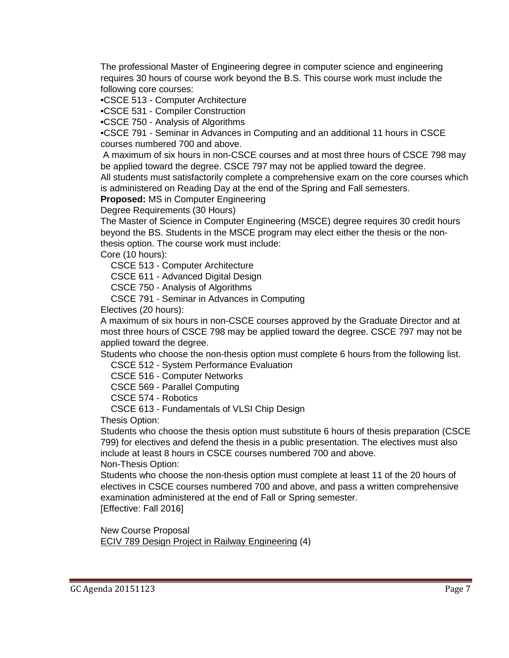The professional Master of Engineering degree in computer science and engineering requires 30 hours of course work beyond the B.S. This course work must include the following core courses:

•CSCE 513 - Computer Architecture

•CSCE 531 - Compiler Construction

•CSCE 750 - Analysis of Algorithms

•CSCE 791 - Seminar in Advances in Computing and an additional 11 hours in CSCE courses numbered 700 and above.

A maximum of six hours in non-CSCE courses and at most three hours of CSCE 798 may be applied toward the degree. CSCE 797 may not be applied toward the degree.

All students must satisfactorily complete a comprehensive exam on the core courses which is administered on Reading Day at the end of the Spring and Fall semesters.

**Proposed:** MS in Computer Engineering

Degree Requirements (30 Hours)

The Master of Science in Computer Engineering (MSCE) degree requires 30 credit hours beyond the BS. Students in the MSCE program may elect either the thesis or the nonthesis option. The course work must include:

Core (10 hours):

CSCE 513 - Computer Architecture

CSCE 611 - Advanced Digital Design

CSCE 750 - Analysis of Algorithms

CSCE 791 - Seminar in Advances in Computing

Electives (20 hours):

A maximum of six hours in non-CSCE courses approved by the Graduate Director and at most three hours of CSCE 798 may be applied toward the degree. CSCE 797 may not be applied toward the degree.

Students who choose the non-thesis option must complete 6 hours from the following list.

CSCE 512 - System Performance Evaluation

CSCE 516 - Computer Networks

CSCE 569 - Parallel Computing

CSCE 574 - Robotics

CSCE 613 - Fundamentals of VLSI Chip Design

Thesis Option:

Students who choose the thesis option must substitute 6 hours of thesis preparation (CSCE 799) for electives and defend the thesis in a public presentation. The electives must also include at least 8 hours in CSCE courses numbered 700 and above. Non-Thesis Option:

Students who choose the non-thesis option must complete at least 11 of the 20 hours of

electives in CSCE courses numbered 700 and above, and pass a written comprehensive examination administered at the end of Fall or Spring semester. [Effective: Fall 2016]

New Course Proposal ECIV 789 Design Project in Railway Engineering (4)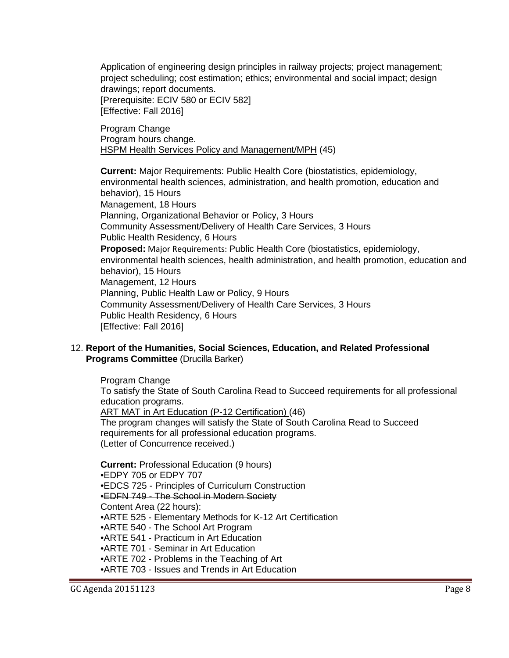Application of engineering design principles in railway projects; project management; project scheduling; cost estimation; ethics; environmental and social impact; design drawings; report documents. [Prerequisite: ECIV 580 or ECIV 582] [Effective: Fall 2016]

Program Change Program hours change. HSPM Health Services Policy and Management/MPH (45)

**Current:** Major Requirements: Public Health Core (biostatistics, epidemiology, environmental health sciences, administration, and health promotion, education and behavior), 15 Hours Management, 18 Hours Planning, Organizational Behavior or Policy, 3 Hours Community Assessment/Delivery of Health Care Services, 3 Hours Public Health Residency, 6 Hours **Proposed:** Major Requirements: Public Health Core (biostatistics, epidemiology, environmental health sciences, health administration, and health promotion, education and behavior), 15 Hours Management, 12 Hours Planning, Public Health Law or Policy, 9 Hours Community Assessment/Delivery of Health Care Services, 3 Hours Public Health Residency, 6 Hours [Effective: Fall 2016]

12. **Report of the Humanities, Social Sciences, Education, and Related Professional Programs Committee** (Drucilla Barker)

Program Change To satisfy the State of South Carolina Read to Succeed requirements for all professional education programs. ART MAT in Art Education (P-12 Certification) (46) The program changes will satisfy the State of South Carolina Read to Succeed requirements for all professional education programs. (Letter of Concurrence received.)

**Current:** Professional Education (9 hours) •EDPY 705 or EDPY 707 •EDCS 725 - Principles of Curriculum Construction •EDFN 749 - The School in Modern Society Content Area (22 hours): •ARTE 525 - Elementary Methods for K-12 Art Certification •ARTE 540 - The School Art Program •ARTE 541 - Practicum in Art Education •ARTE 701 - Seminar in Art Education •ARTE 702 - Problems in the Teaching of Art •ARTE 703 - Issues and Trends in Art Education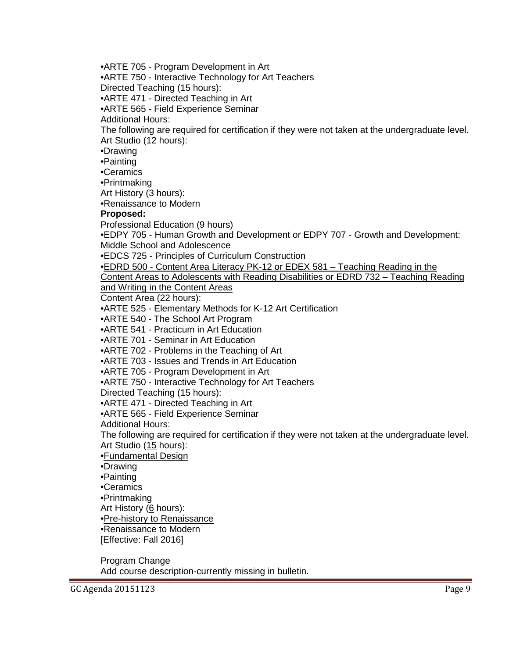•ARTE 705 - Program Development in Art •ARTE 750 - Interactive Technology for Art Teachers Directed Teaching (15 hours): •ARTE 471 - Directed Teaching in Art •ARTE 565 - Field Experience Seminar Additional Hours: The following are required for certification if they were not taken at the undergraduate level. Art Studio (12 hours): •Drawing •Painting •Ceramics •Printmaking Art History (3 hours): •Renaissance to Modern **Proposed:** Professional Education (9 hours) •EDPY 705 - Human Growth and Development or EDPY 707 - Growth and Development: Middle School and Adolescence •EDCS 725 - Principles of Curriculum Construction •EDRD 500 - Content Area Literacy PK-12 or EDEX 581 – Teaching Reading in the Content Areas to Adolescents with Reading Disabilities or EDRD 732 – Teaching Reading and Writing in the Content Areas Content Area (22 hours): •ARTE 525 - Elementary Methods for K-12 Art Certification •ARTE 540 - The School Art Program •ARTE 541 - Practicum in Art Education •ARTE 701 - Seminar in Art Education •ARTE 702 - Problems in the Teaching of Art •ARTE 703 - Issues and Trends in Art Education •ARTE 705 - Program Development in Art •ARTE 750 - Interactive Technology for Art Teachers Directed Teaching (15 hours): •ARTE 471 - Directed Teaching in Art •ARTE 565 - Field Experience Seminar Additional Hours: The following are required for certification if they were not taken at the undergraduate level. Art Studio (15 hours): •Fundamental Design •Drawing •Painting •Ceramics •Printmaking Art History (6 hours): •Pre-history to Renaissance •Renaissance to Modern [Effective: Fall 2016] Program Change Add course description-currently missing in bulletin.

GC Agenda 20151123 Page 9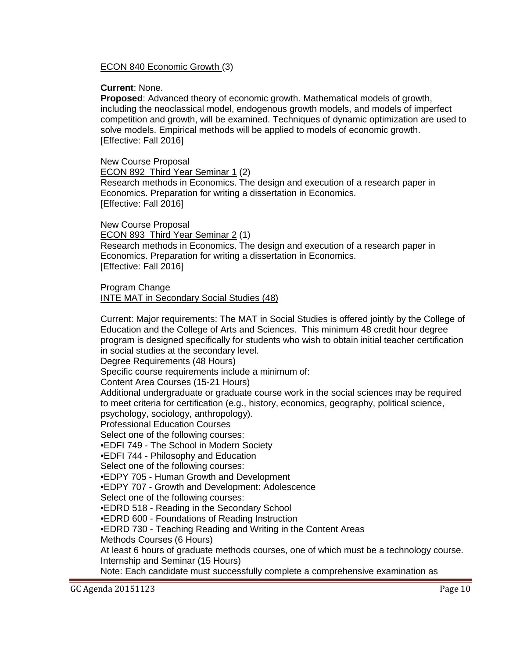ECON 840 Economic Growth (3)

**Current**: None.

**Proposed**: Advanced theory of economic growth. Mathematical models of growth, including the neoclassical model, endogenous growth models, and models of imperfect competition and growth, will be examined. Techniques of dynamic optimization are used to solve models. Empirical methods will be applied to models of economic growth. [Effective: Fall 2016]

New Course Proposal ECON 892 Third Year Seminar 1 (2) Research methods in Economics. The design and execution of a research paper in Economics. Preparation for writing a dissertation in Economics. [Effective: Fall 2016]

New Course Proposal ECON 893 Third Year Seminar 2 (1) Research methods in Economics. The design and execution of a research paper in Economics. Preparation for writing a dissertation in Economics. [Effective: Fall 2016]

Program Change INTE MAT in Secondary Social Studies (48)

Current: Major requirements: The MAT in Social Studies is offered jointly by the College of Education and the College of Arts and Sciences. This minimum 48 credit hour degree program is designed specifically for students who wish to obtain initial teacher certification in social studies at the secondary level.

Degree Requirements (48 Hours)

Specific course requirements include a minimum of:

Content Area Courses (15-21 Hours)

Additional undergraduate or graduate course work in the social sciences may be required to meet criteria for certification (e.g., history, economics, geography, political science, psychology, sociology, anthropology).

Professional Education Courses

Select one of the following courses:

•EDFI 749 - The School in Modern Society

•EDFI 744 - Philosophy and Education

Select one of the following courses:

•EDPY 705 - Human Growth and Development

•EDPY 707 - Growth and Development: Adolescence

Select one of the following courses:

•EDRD 518 - Reading in the Secondary School

•EDRD 600 - Foundations of Reading Instruction

•EDRD 730 - Teaching Reading and Writing in the Content Areas

Methods Courses (6 Hours)

At least 6 hours of graduate methods courses, one of which must be a technology course. Internship and Seminar (15 Hours)

Note: Each candidate must successfully complete a comprehensive examination as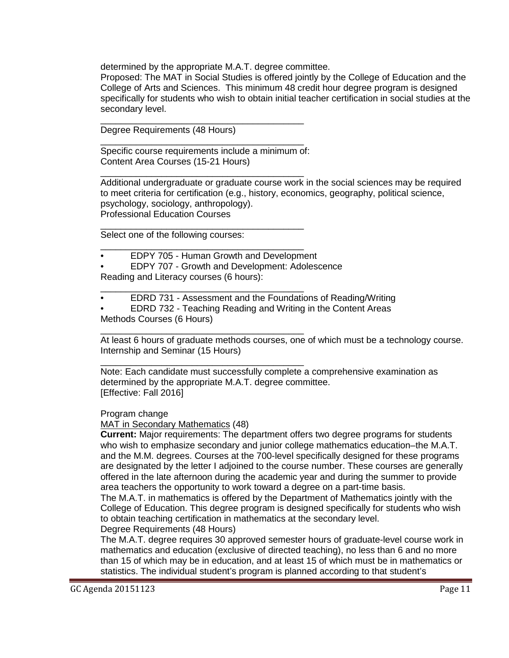determined by the appropriate M.A.T. degree committee.

Proposed: The MAT in Social Studies is offered jointly by the College of Education and the College of Arts and Sciences. This minimum 48 credit hour degree program is designed specifically for students who wish to obtain initial teacher certification in social studies at the secondary level.

Degree Requirements (48 Hours)

Specific course requirements include a minimum of: Content Area Courses (15-21 Hours)

\_\_\_\_\_\_\_\_\_\_\_\_\_\_\_\_\_\_\_\_\_\_\_\_\_\_\_\_\_\_\_\_\_\_\_\_\_\_\_\_

\_\_\_\_\_\_\_\_\_\_\_\_\_\_\_\_\_\_\_\_\_\_\_\_\_\_\_\_\_\_\_\_\_\_\_\_\_\_\_\_

\_\_\_\_\_\_\_\_\_\_\_\_\_\_\_\_\_\_\_\_\_\_\_\_\_\_\_\_\_\_\_\_\_\_\_\_\_\_\_\_ Additional undergraduate or graduate course work in the social sciences may be required to meet criteria for certification (e.g., history, economics, geography, political science, psychology, sociology, anthropology). Professional Education Courses

\_\_\_\_\_\_\_\_\_\_\_\_\_\_\_\_\_\_\_\_\_\_\_\_\_\_\_\_\_\_\_\_\_\_\_\_\_\_\_\_ Select one of the following courses:

- \_\_\_\_\_\_\_\_\_\_\_\_\_\_\_\_\_\_\_\_\_\_\_\_\_\_\_\_\_\_\_\_\_\_\_\_\_\_\_\_ • EDPY 705 - Human Growth and Development
- EDPY 707 Growth and Development: Adolescence

Reading and Literacy courses (6 hours):

- \_\_\_\_\_\_\_\_\_\_\_\_\_\_\_\_\_\_\_\_\_\_\_\_\_\_\_\_\_\_\_\_\_\_\_\_\_\_\_\_ • EDRD 731 - Assessment and the Foundations of Reading/Writing
- EDRD 732 Teaching Reading and Writing in the Content Areas Methods Courses (6 Hours)

\_\_\_\_\_\_\_\_\_\_\_\_\_\_\_\_\_\_\_\_\_\_\_\_\_\_\_\_\_\_\_\_\_\_\_\_\_\_\_\_ At least 6 hours of graduate methods courses, one of which must be a technology course. Internship and Seminar (15 Hours)

\_\_\_\_\_\_\_\_\_\_\_\_\_\_\_\_\_\_\_\_\_\_\_\_\_\_\_\_\_\_\_\_\_\_\_\_\_\_\_\_ Note: Each candidate must successfully complete a comprehensive examination as determined by the appropriate M.A.T. degree committee. [Effective: Fall 2016]

#### Program change

MAT in Secondary Mathematics (48)

**Current:** Major requirements: The department offers two degree programs for students who wish to emphasize secondary and junior college mathematics education–the M.A.T. and the M.M. degrees. Courses at the 700-level specifically designed for these programs are designated by the letter I adjoined to the course number. These courses are generally offered in the late afternoon during the academic year and during the summer to provide area teachers the opportunity to work toward a degree on a part-time basis.

The M.A.T. in mathematics is offered by the Department of Mathematics jointly with the College of Education. This degree program is designed specifically for students who wish to obtain teaching certification in mathematics at the secondary level. Degree Requirements (48 Hours)

The M.A.T. degree requires 30 approved semester hours of graduate-level course work in mathematics and education (exclusive of directed teaching), no less than 6 and no more than 15 of which may be in education, and at least 15 of which must be in mathematics or statistics. The individual student's program is planned according to that student's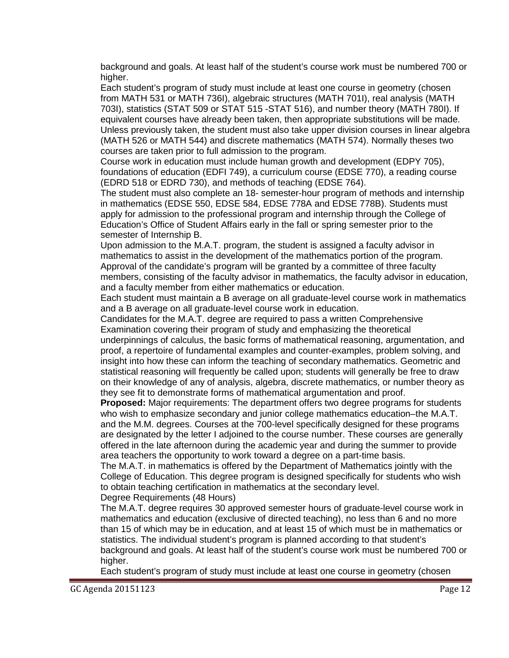background and goals. At least half of the student's course work must be numbered 700 or higher.

Each student's program of study must include at least one course in geometry (chosen from MATH 531 or MATH 736I), algebraic structures (MATH 701I), real analysis (MATH 703I), statistics (STAT 509 or STAT 515 -STAT 516), and number theory (MATH 780I). If equivalent courses have already been taken, then appropriate substitutions will be made. Unless previously taken, the student must also take upper division courses in linear algebra (MATH 526 or MATH 544) and discrete mathematics (MATH 574). Normally theses two courses are taken prior to full admission to the program.

Course work in education must include human growth and development (EDPY 705), foundations of education (EDFI 749), a curriculum course (EDSE 770), a reading course (EDRD 518 or EDRD 730), and methods of teaching (EDSE 764).

The student must also complete an 18- semester-hour program of methods and internship in mathematics (EDSE 550, EDSE 584, EDSE 778A and EDSE 778B). Students must apply for admission to the professional program and internship through the College of Education's Office of Student Affairs early in the fall or spring semester prior to the semester of Internship B.

Upon admission to the M.A.T. program, the student is assigned a faculty advisor in mathematics to assist in the development of the mathematics portion of the program. Approval of the candidate's program will be granted by a committee of three faculty members, consisting of the faculty advisor in mathematics, the faculty advisor in education, and a faculty member from either mathematics or education.

Each student must maintain a B average on all graduate-level course work in mathematics and a B average on all graduate-level course work in education.

Candidates for the M.A.T. degree are required to pass a written Comprehensive Examination covering their program of study and emphasizing the theoretical

underpinnings of calculus, the basic forms of mathematical reasoning, argumentation, and proof, a repertoire of fundamental examples and counter-examples, problem solving, and insight into how these can inform the teaching of secondary mathematics. Geometric and statistical reasoning will frequently be called upon; students will generally be free to draw on their knowledge of any of analysis, algebra, discrete mathematics, or number theory as they see fit to demonstrate forms of mathematical argumentation and proof.

**Proposed:** Major requirements: The department offers two degree programs for students who wish to emphasize secondary and junior college mathematics education–the M.A.T. and the M.M. degrees. Courses at the 700-level specifically designed for these programs are designated by the letter I adjoined to the course number. These courses are generally offered in the late afternoon during the academic year and during the summer to provide area teachers the opportunity to work toward a degree on a part-time basis.

The M.A.T. in mathematics is offered by the Department of Mathematics jointly with the College of Education. This degree program is designed specifically for students who wish to obtain teaching certification in mathematics at the secondary level.

#### Degree Requirements (48 Hours)

The M.A.T. degree requires 30 approved semester hours of graduate-level course work in mathematics and education (exclusive of directed teaching), no less than 6 and no more than 15 of which may be in education, and at least 15 of which must be in mathematics or statistics. The individual student's program is planned according to that student's background and goals. At least half of the student's course work must be numbered 700 or higher.

Each student's program of study must include at least one course in geometry (chosen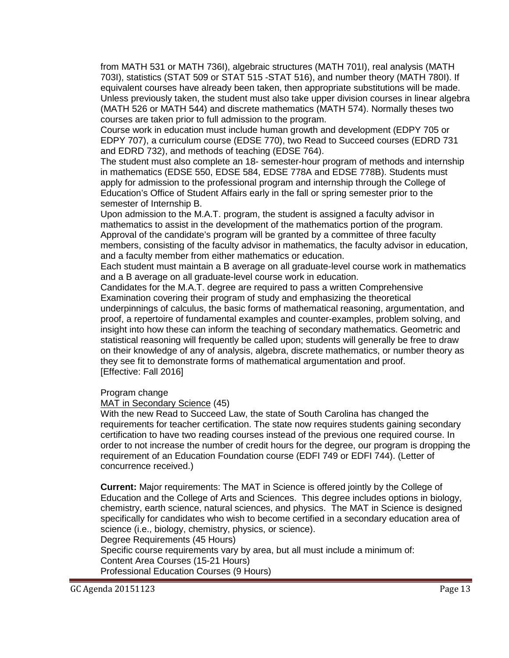from MATH 531 or MATH 736I), algebraic structures (MATH 701I), real analysis (MATH 703I), statistics (STAT 509 or STAT 515 -STAT 516), and number theory (MATH 780I). If equivalent courses have already been taken, then appropriate substitutions will be made. Unless previously taken, the student must also take upper division courses in linear algebra (MATH 526 or MATH 544) and discrete mathematics (MATH 574). Normally theses two courses are taken prior to full admission to the program.

Course work in education must include human growth and development (EDPY 705 or EDPY 707), a curriculum course (EDSE 770), two Read to Succeed courses (EDRD 731 and EDRD 732), and methods of teaching (EDSE 764).

The student must also complete an 18- semester-hour program of methods and internship in mathematics (EDSE 550, EDSE 584, EDSE 778A and EDSE 778B). Students must apply for admission to the professional program and internship through the College of Education's Office of Student Affairs early in the fall or spring semester prior to the semester of Internship B.

Upon admission to the M.A.T. program, the student is assigned a faculty advisor in mathematics to assist in the development of the mathematics portion of the program. Approval of the candidate's program will be granted by a committee of three faculty members, consisting of the faculty advisor in mathematics, the faculty advisor in education, and a faculty member from either mathematics or education.

Each student must maintain a B average on all graduate-level course work in mathematics and a B average on all graduate-level course work in education.

Candidates for the M.A.T. degree are required to pass a written Comprehensive Examination covering their program of study and emphasizing the theoretical underpinnings of calculus, the basic forms of mathematical reasoning, argumentation, and proof, a repertoire of fundamental examples and counter-examples, problem solving, and insight into how these can inform the teaching of secondary mathematics. Geometric and statistical reasoning will frequently be called upon; students will generally be free to draw on their knowledge of any of analysis, algebra, discrete mathematics, or number theory as they see fit to demonstrate forms of mathematical argumentation and proof. [Effective: Fall 2016]

Program change

MAT in Secondary Science (45)

With the new Read to Succeed Law, the state of South Carolina has changed the requirements for teacher certification. The state now requires students gaining secondary certification to have two reading courses instead of the previous one required course. In order to not increase the number of credit hours for the degree, our program is dropping the requirement of an Education Foundation course (EDFI 749 or EDFI 744). (Letter of concurrence received.)

**Current:** Major requirements: The MAT in Science is offered jointly by the College of Education and the College of Arts and Sciences. This degree includes options in biology, chemistry, earth science, natural sciences, and physics. The MAT in Science is designed specifically for candidates who wish to become certified in a secondary education area of science (i.e., biology, chemistry, physics, or science).

Degree Requirements (45 Hours)

Specific course requirements vary by area, but all must include a minimum of: Content Area Courses (15-21 Hours) Professional Education Courses (9 Hours)

GC Agenda 20151123 Page 13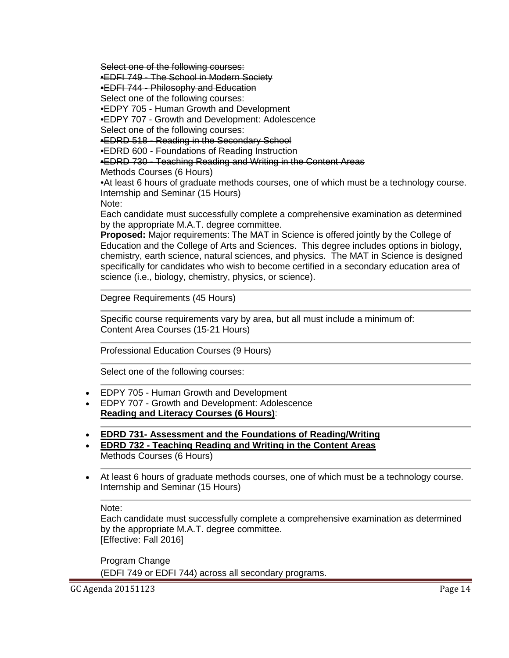Select one of the following courses:

•EDFI 749 - The School in Modern Society

•EDFI 744 - Philosophy and Education

Select one of the following courses:

•EDPY 705 - Human Growth and Development

•EDPY 707 - Growth and Development: Adolescence

Select one of the following courses:

•EDRD 518 - Reading in the Secondary School

•EDRD 600 - Foundations of Reading Instruction

•EDRD 730 - Teaching Reading and Writing in the Content Areas

Methods Courses (6 Hours)

•At least 6 hours of graduate methods courses, one of which must be a technology course. Internship and Seminar (15 Hours)

Note:

Each candidate must successfully complete a comprehensive examination as determined by the appropriate M.A.T. degree committee.

**Proposed:** Major requirements: The MAT in Science is offered jointly by the College of Education and the College of Arts and Sciences. This degree includes options in biology, chemistry, earth science, natural sciences, and physics. The MAT in Science is designed specifically for candidates who wish to become certified in a secondary education area of science (i.e., biology, chemistry, physics, or science).

Degree Requirements (45 Hours)

Specific course requirements vary by area, but all must include a minimum of: Content Area Courses (15-21 Hours)

Professional Education Courses (9 Hours)

Select one of the following courses:

- EDPY 705 Human Growth and Development
- EDPY 707 Growth and Development: Adolescence **Reading and Literacy Courses (6 Hours)**:
- **EDRD 731- Assessment and the Foundations of Reading/Writing**
- **EDRD 732 - Teaching Reading and Writing in the Content Areas** Methods Courses (6 Hours)
- At least 6 hours of graduate methods courses, one of which must be a technology course. Internship and Seminar (15 Hours)

Note:

Each candidate must successfully complete a comprehensive examination as determined by the appropriate M.A.T. degree committee. [Effective: Fall 2016]

Program Change (EDFI 749 or EDFI 744) across all secondary programs.

GC Agenda 20151123 Page 14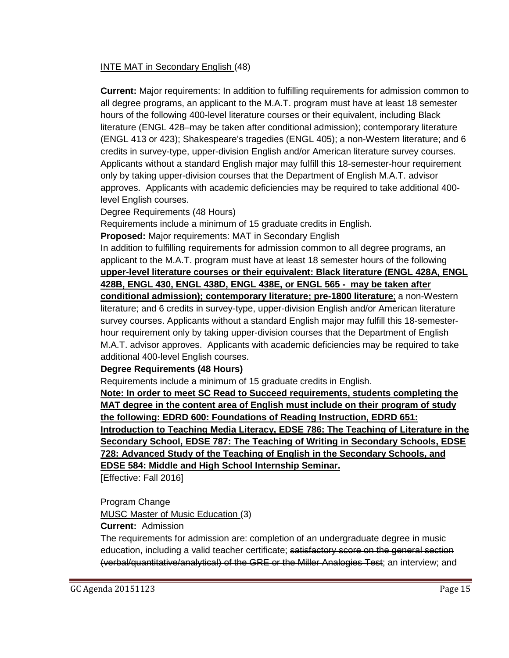## INTE MAT in Secondary English (48)

**Current:** Major requirements: In addition to fulfilling requirements for admission common to all degree programs, an applicant to the M.A.T. program must have at least 18 semester hours of the following 400-level literature courses or their equivalent, including Black literature (ENGL 428–may be taken after conditional admission); contemporary literature (ENGL 413 or 423); Shakespeare's tragedies (ENGL 405); a non-Western literature; and 6 credits in survey-type, upper-division English and/or American literature survey courses. Applicants without a standard English major may fulfill this 18-semester-hour requirement only by taking upper-division courses that the Department of English M.A.T. advisor approves. Applicants with academic deficiencies may be required to take additional 400 level English courses.

Degree Requirements (48 Hours)

Requirements include a minimum of 15 graduate credits in English.

**Proposed:** Major requirements: MAT in Secondary English

In addition to fulfilling requirements for admission common to all degree programs, an applicant to the M.A.T. program must have at least 18 semester hours of the following **upper-level literature courses or their equivalent: Black literature (ENGL 428A, ENGL 428B, ENGL 430, ENGL 438D, ENGL 438E, or ENGL 565 - may be taken after conditional admission); contemporary literature; pre-1800 literature**; a non-Western literature; and 6 credits in survey-type, upper-division English and/or American literature survey courses. Applicants without a standard English major may fulfill this 18-semesterhour requirement only by taking upper-division courses that the Department of English M.A.T. advisor approves. Applicants with academic deficiencies may be required to take additional 400-level English courses.

#### **Degree Requirements (48 Hours)**

Requirements include a minimum of 15 graduate credits in English.

**Note: In order to meet SC Read to Succeed requirements, students completing the MAT degree in the content area of English must include on their program of study the following: EDRD 600: Foundations of Reading Instruction, EDRD 651: Introduction to Teaching Media Literacy, EDSE 786: The Teaching of Literature in the Secondary School, EDSE 787: The Teaching of Writing in Secondary Schools, EDSE 728: Advanced Study of the Teaching of English in the Secondary Schools, and EDSE 584: Middle and High School Internship Seminar.**

[Effective: Fall 2016]

Program Change

MUSC Master of Music Education (3)

**Current:** Admission

The requirements for admission are: completion of an undergraduate degree in music education, including a valid teacher certificate; satisfactory score on the general section (verbal/quantitative/analytical) of the GRE or the Miller Analogies Test; an interview; and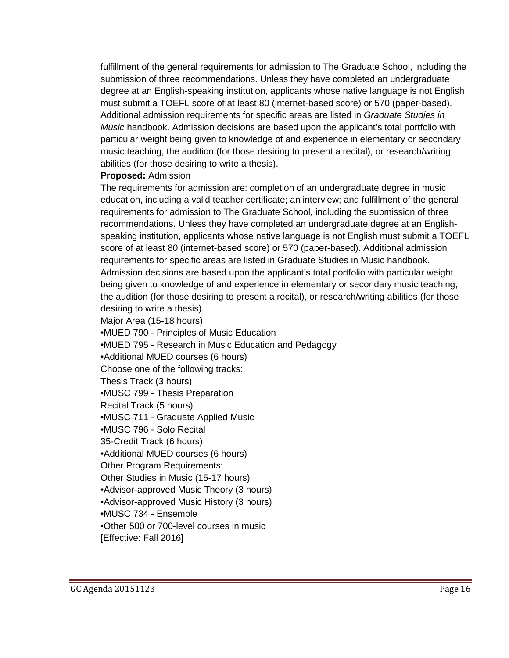fulfillment of the general requirements for admission to The Graduate School, including the submission of three recommendations. Unless they have completed an undergraduate degree at an English-speaking institution, applicants whose native language is not English must submit a TOEFL score of at least 80 (internet-based score) or 570 (paper-based). Additional admission requirements for specific areas are listed in *Graduate Studies in Music* handbook. Admission decisions are based upon the applicant's total portfolio with particular weight being given to knowledge of and experience in elementary or secondary music teaching, the audition (for those desiring to present a recital), or research/writing abilities (for those desiring to write a thesis).

#### **Proposed:** Admission

The requirements for admission are: completion of an undergraduate degree in music education, including a valid teacher certificate; an interview; and fulfillment of the general requirements for admission to The Graduate School, including the submission of three recommendations. Unless they have completed an undergraduate degree at an Englishspeaking institution, applicants whose native language is not English must submit a TOEFL score of at least 80 (internet-based score) or 570 (paper-based). Additional admission requirements for specific areas are listed in Graduate Studies in Music handbook. Admission decisions are based upon the applicant's total portfolio with particular weight being given to knowledge of and experience in elementary or secondary music teaching, the audition (for those desiring to present a recital), or research/writing abilities (for those desiring to write a thesis).

Major Area (15-18 hours)

•MUED 790 - Principles of Music Education •MUED 795 - Research in Music Education and Pedagogy

•Additional MUED courses (6 hours)

Choose one of the following tracks:

Thesis Track (3 hours)

•MUSC 799 - Thesis Preparation

Recital Track (5 hours)

•MUSC 711 - Graduate Applied Music

•MUSC 796 - Solo Recital

35-Credit Track (6 hours)

•Additional MUED courses (6 hours)

Other Program Requirements:

Other Studies in Music (15-17 hours)

•Advisor-approved Music Theory (3 hours)

•Advisor-approved Music History (3 hours)

•MUSC 734 - Ensemble

•Other 500 or 700-level courses in music

[Effective: Fall 2016]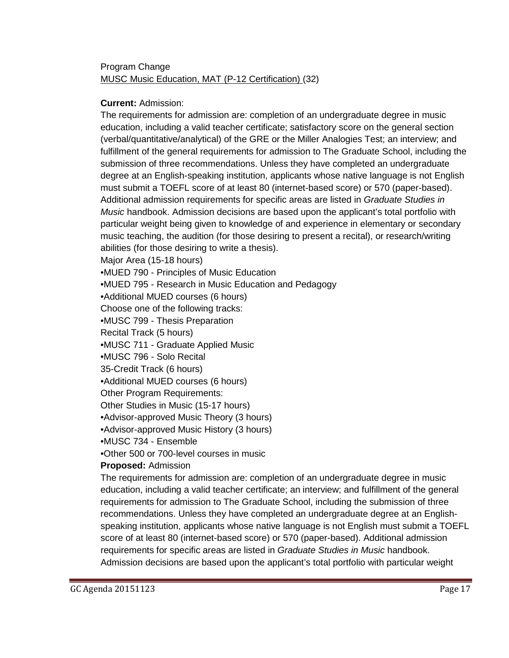# Program Change MUSC Music Education, MAT (P-12 Certification) (32)

### **Current:** Admission:

The requirements for admission are: completion of an undergraduate degree in music education, including a valid teacher certificate; satisfactory score on the general section (verbal/quantitative/analytical) of the GRE or the Miller Analogies Test; an interview; and fulfillment of the general requirements for admission to The Graduate School, including the submission of three recommendations. Unless they have completed an undergraduate degree at an English-speaking institution, applicants whose native language is not English must submit a TOEFL score of at least 80 (internet-based score) or 570 (paper-based). Additional admission requirements for specific areas are listed in *Graduate Studies in Music* handbook. Admission decisions are based upon the applicant's total portfolio with particular weight being given to knowledge of and experience in elementary or secondary music teaching, the audition (for those desiring to present a recital), or research/writing abilities (for those desiring to write a thesis).

Major Area (15-18 hours)

•MUED 790 - Principles of Music Education

•MUED 795 - Research in Music Education and Pedagogy

•Additional MUED courses (6 hours)

Choose one of the following tracks:

•MUSC 799 - Thesis Preparation

Recital Track (5 hours)

•MUSC 711 - Graduate Applied Music

•MUSC 796 - Solo Recital

35-Credit Track (6 hours)

•Additional MUED courses (6 hours)

Other Program Requirements:

Other Studies in Music (15-17 hours)

•Advisor-approved Music Theory (3 hours)

•Advisor-approved Music History (3 hours)

•MUSC 734 - Ensemble

•Other 500 or 700-level courses in music

#### **Proposed:** Admission

The requirements for admission are: completion of an undergraduate degree in music education, including a valid teacher certificate; an interview; and fulfillment of the general requirements for admission to The Graduate School, including the submission of three recommendations. Unless they have completed an undergraduate degree at an Englishspeaking institution, applicants whose native language is not English must submit a TOEFL score of at least 80 (internet-based score) or 570 (paper-based). Additional admission requirements for specific areas are listed in *Graduate Studies in Music* handbook. Admission decisions are based upon the applicant's total portfolio with particular weight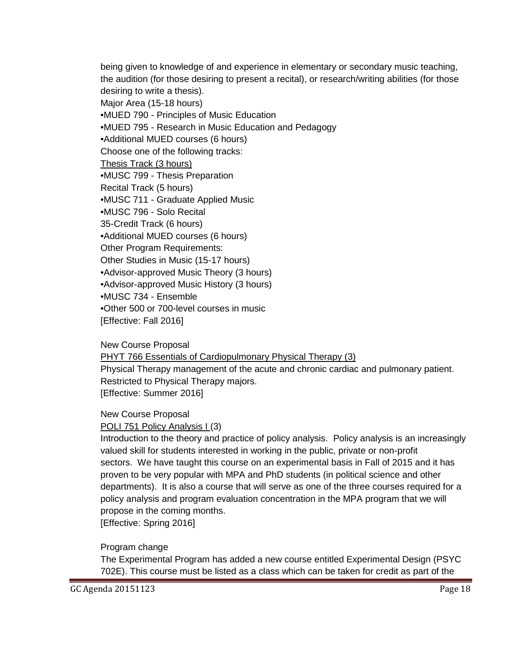being given to knowledge of and experience in elementary or secondary music teaching, the audition (for those desiring to present a recital), or research/writing abilities (for those desiring to write a thesis).

Major Area (15-18 hours)

•MUED 790 - Principles of Music Education •MUED 795 - Research in Music Education and Pedagogy

•Additional MUED courses (6 hours)

Choose one of the following tracks:

Thesis Track (3 hours)

•MUSC 799 - Thesis Preparation

Recital Track (5 hours)

•MUSC 711 - Graduate Applied Music

•MUSC 796 - Solo Recital

35-Credit Track (6 hours)

•Additional MUED courses (6 hours)

Other Program Requirements:

Other Studies in Music (15-17 hours)

•Advisor-approved Music Theory (3 hours)

•Advisor-approved Music History (3 hours)

•MUSC 734 - Ensemble

•Other 500 or 700-level courses in music

[Effective: Fall 2016]

New Course Proposal

PHYT 766 Essentials of Cardiopulmonary Physical Therapy (3)

Physical Therapy management of the acute and chronic cardiac and pulmonary patient. Restricted to Physical Therapy majors. [Effective: Summer 2016]

New Course Proposal

POLI 751 Policy Analysis I (3)

Introduction to the theory and practice of policy analysis. Policy analysis is an increasingly valued skill for students interested in working in the public, private or non-profit sectors. We have taught this course on an experimental basis in Fall of 2015 and it has proven to be very popular with MPA and PhD students (in political science and other departments). It is also a course that will serve as one of the three courses required for a policy analysis and program evaluation concentration in the MPA program that we will propose in the coming months.

[Effective: Spring 2016]

Program change

The Experimental Program has added a new course entitled Experimental Design (PSYC 702E). This course must be listed as a class which can be taken for credit as part of the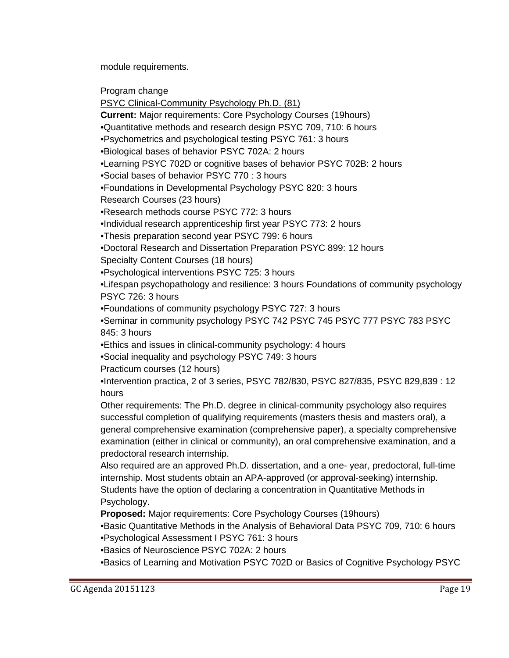module requirements.

Program change

PSYC Clinical-Community Psychology Ph.D. (81)

**Current:** Major requirements: Core Psychology Courses (19hours)

•Quantitative methods and research design PSYC 709, 710: 6 hours

•Psychometrics and psychological testing PSYC 761: 3 hours

•Biological bases of behavior PSYC 702A: 2 hours

•Learning PSYC 702D or cognitive bases of behavior PSYC 702B: 2 hours

•Social bases of behavior PSYC 770 : 3 hours

•Foundations in Developmental Psychology PSYC 820: 3 hours

Research Courses (23 hours)

•Research methods course PSYC 772: 3 hours

•Individual research apprenticeship first year PSYC 773: 2 hours

•Thesis preparation second year PSYC 799: 6 hours

•Doctoral Research and Dissertation Preparation PSYC 899: 12 hours

Specialty Content Courses (18 hours)

•Psychological interventions PSYC 725: 3 hours

•Lifespan psychopathology and resilience: 3 hours Foundations of community psychology PSYC 726: 3 hours

•Foundations of community psychology PSYC 727: 3 hours

•Seminar in community psychology PSYC 742 PSYC 745 PSYC 777 PSYC 783 PSYC 845: 3 hours

•Ethics and issues in clinical-community psychology: 4 hours

•Social inequality and psychology PSYC 749: 3 hours

Practicum courses (12 hours)

•Intervention practica, 2 of 3 series, PSYC 782/830, PSYC 827/835, PSYC 829,839 : 12 hours

Other requirements: The Ph.D. degree in clinical-community psychology also requires successful completion of qualifying requirements (masters thesis and masters oral), a general comprehensive examination (comprehensive paper), a specialty comprehensive examination (either in clinical or community), an oral comprehensive examination, and a predoctoral research internship.

Also required are an approved Ph.D. dissertation, and a one- year, predoctoral, full-time internship. Most students obtain an APA-approved (or approval-seeking) internship. Students have the option of declaring a concentration in Quantitative Methods in Psychology.

**Proposed:** Major requirements: Core Psychology Courses (19hours)

•Basic Quantitative Methods in the Analysis of Behavioral Data PSYC 709, 710: 6 hours •Psychological Assessment I PSYC 761: 3 hours

•Basics of Neuroscience PSYC 702A: 2 hours

•Basics of Learning and Motivation PSYC 702D or Basics of Cognitive Psychology PSYC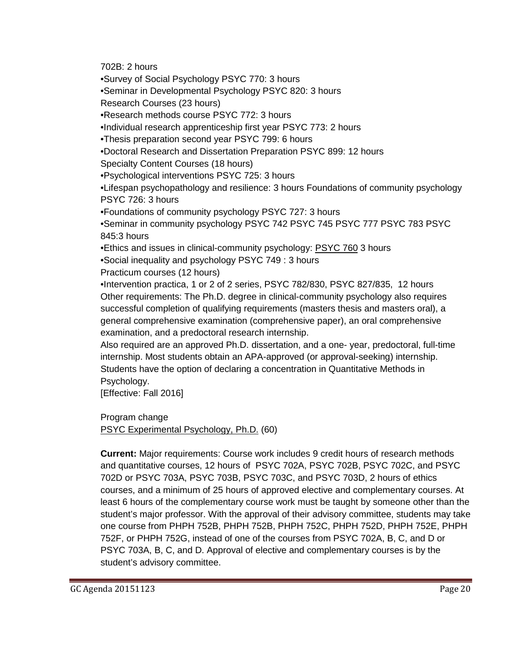702B: 2 hours

•Survey of Social Psychology PSYC 770: 3 hours

•Seminar in Developmental Psychology PSYC 820: 3 hours

Research Courses (23 hours)

•Research methods course PSYC 772: 3 hours

•Individual research apprenticeship first year PSYC 773: 2 hours

•Thesis preparation second year PSYC 799: 6 hours

•Doctoral Research and Dissertation Preparation PSYC 899: 12 hours

Specialty Content Courses (18 hours)

•Psychological interventions PSYC 725: 3 hours

•Lifespan psychopathology and resilience: 3 hours Foundations of community psychology PSYC 726: 3 hours

•Foundations of community psychology PSYC 727: 3 hours

•Seminar in community psychology PSYC 742 PSYC 745 PSYC 777 PSYC 783 PSYC 845:3 hours

•Ethics and issues in clinical-community psychology: PSYC 760 3 hours

•Social inequality and psychology PSYC 749 : 3 hours

Practicum courses (12 hours)

•Intervention practica, 1 or 2 of 2 series, PSYC 782/830, PSYC 827/835, 12 hours Other requirements: The Ph.D. degree in clinical-community psychology also requires successful completion of qualifying requirements (masters thesis and masters oral), a general comprehensive examination (comprehensive paper), an oral comprehensive examination, and a predoctoral research internship.

Also required are an approved Ph.D. dissertation, and a one- year, predoctoral, full-time internship. Most students obtain an APA-approved (or approval-seeking) internship. Students have the option of declaring a concentration in Quantitative Methods in Psychology.

[Effective: Fall 2016]

Program change

PSYC Experimental Psychology, Ph.D. (60)

**Current:** Major requirements: Course work includes 9 credit hours of research methods and quantitative courses, 12 hours of PSYC 702A, PSYC 702B, PSYC 702C, and PSYC 702D or PSYC 703A, PSYC 703B, PSYC 703C, and PSYC 703D, 2 hours of ethics courses, and a minimum of 25 hours of approved elective and complementary courses. At least 6 hours of the complementary course work must be taught by someone other than the student's major professor. With the approval of their advisory committee, students may take one course from PHPH 752B, PHPH 752B, PHPH 752C, PHPH 752D, PHPH 752E, PHPH 752F, or PHPH 752G, instead of one of the courses from PSYC 702A, B, C, and D or PSYC 703A, B, C, and D. Approval of elective and complementary courses is by the student's advisory committee.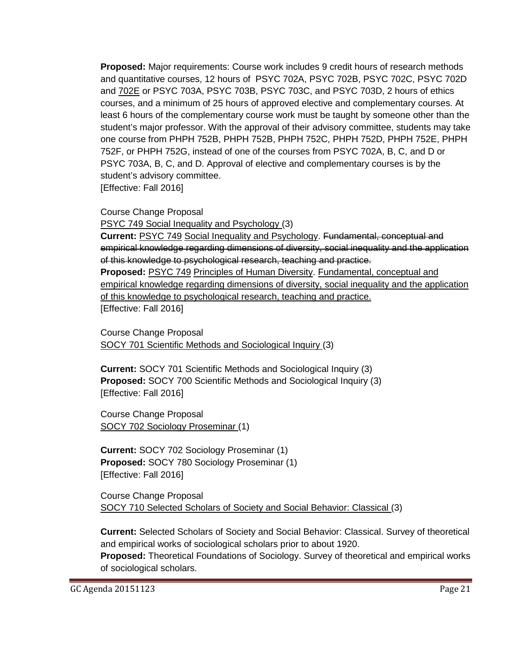**Proposed:** Major requirements: Course work includes 9 credit hours of research methods and quantitative courses, 12 hours of PSYC 702A, PSYC 702B, PSYC 702C, PSYC 702D and 702E or PSYC 703A, PSYC 703B, PSYC 703C, and PSYC 703D, 2 hours of ethics courses, and a minimum of 25 hours of approved elective and complementary courses. At least 6 hours of the complementary course work must be taught by someone other than the student's major professor. With the approval of their advisory committee, students may take one course from PHPH 752B, PHPH 752B, PHPH 752C, PHPH 752D, PHPH 752E, PHPH 752F, or PHPH 752G, instead of one of the courses from PSYC 702A, B, C, and D or PSYC 703A, B, C, and D. Approval of elective and complementary courses is by the student's advisory committee. [Effective: Fall 2016]

Course Change Proposal

PSYC 749 Social Inequality and Psychology (3)

**Current:** PSYC 749 Social Inequality and Psychology. Fundamental, conceptual and empirical knowledge regarding dimensions of diversity, social inequality and the application of this knowledge to psychological research, teaching and practice. **Proposed:** PSYC 749 Principles of Human Diversity. Fundamental, conceptual and empirical knowledge regarding dimensions of diversity, social inequality and the application of this knowledge to psychological research, teaching and practice. [Effective: Fall 2016]

Course Change Proposal SOCY 701 Scientific Methods and Sociological Inquiry (3)

**Current:** SOCY 701 Scientific Methods and Sociological Inquiry (3) **Proposed:** SOCY 700 Scientific Methods and Sociological Inquiry (3) [Effective: Fall 2016]

Course Change Proposal SOCY 702 Sociology Proseminar (1)

**Current:** SOCY 702 Sociology Proseminar (1) **Proposed:** SOCY 780 Sociology Proseminar (1) [Effective: Fall 2016]

Course Change Proposal SOCY 710 Selected Scholars of Society and Social Behavior: Classical (3)

**Current:** Selected Scholars of Society and Social Behavior: Classical. Survey of theoretical and empirical works of sociological scholars prior to about 1920.

**Proposed:** Theoretical Foundations of Sociology. Survey of theoretical and empirical works of sociological scholars.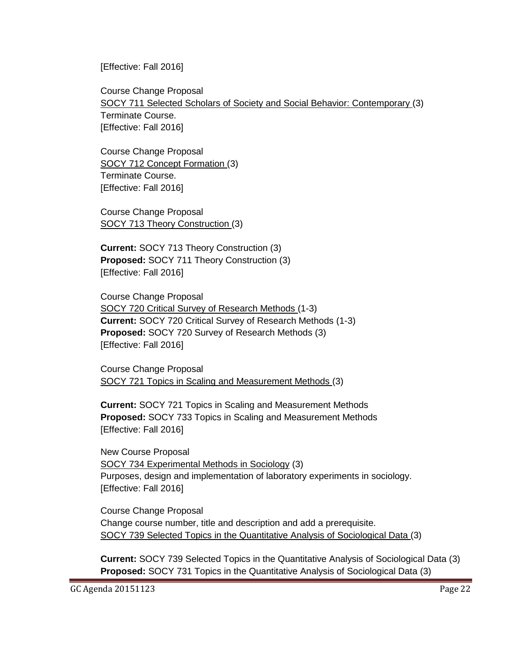[Effective: Fall 2016]

Course Change Proposal SOCY 711 Selected Scholars of Society and Social Behavior: Contemporary (3) Terminate Course. [Effective: Fall 2016]

Course Change Proposal SOCY 712 Concept Formation (3) Terminate Course. [Effective: Fall 2016]

Course Change Proposal SOCY 713 Theory Construction (3)

**Current:** SOCY 713 Theory Construction (3) **Proposed:** SOCY 711 Theory Construction (3) [Effective: Fall 2016]

Course Change Proposal SOCY 720 Critical Survey of Research Methods (1-3) **Current:** SOCY 720 Critical Survey of Research Methods (1-3) **Proposed:** SOCY 720 Survey of Research Methods (3) [Effective: Fall 2016]

Course Change Proposal SOCY 721 Topics in Scaling and Measurement Methods (3)

**Current:** SOCY 721 Topics in Scaling and Measurement Methods **Proposed:** SOCY 733 Topics in Scaling and Measurement Methods [Effective: Fall 2016]

New Course Proposal SOCY 734 Experimental Methods in Sociology (3) Purposes, design and implementation of laboratory experiments in sociology. [Effective: Fall 2016]

Course Change Proposal Change course number, title and description and add a prerequisite. SOCY 739 Selected Topics in the Quantitative Analysis of Sociological Data (3)

**Current:** SOCY 739 Selected Topics in the Quantitative Analysis of Sociological Data (3) **Proposed:** SOCY 731 Topics in the Quantitative Analysis of Sociological Data (3)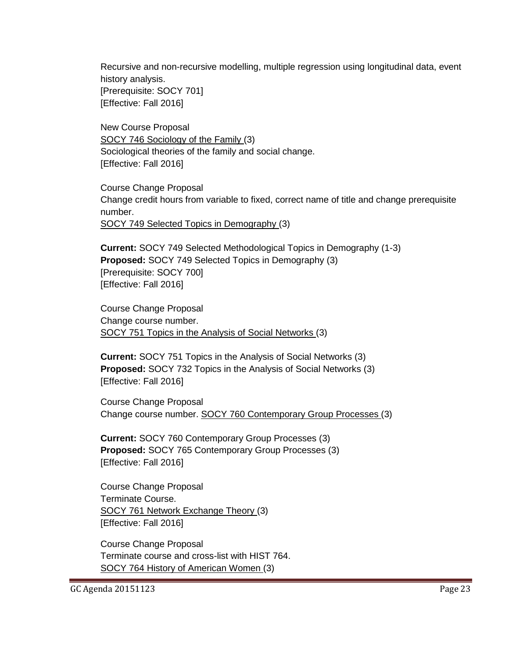Recursive and non-recursive modelling, multiple regression using longitudinal data, event history analysis. [Prerequisite: SOCY 701] [Effective: Fall 2016]

New Course Proposal SOCY 746 Sociology of the Family (3) Sociological theories of the family and social change. [Effective: Fall 2016]

Course Change Proposal Change credit hours from variable to fixed, correct name of title and change prerequisite number. SOCY 749 Selected Topics in Demography (3)

**Current:** SOCY 749 Selected Methodological Topics in Demography (1-3) **Proposed:** SOCY 749 Selected Topics in Demography (3) [Prerequisite: SOCY 700] [Effective: Fall 2016]

Course Change Proposal Change course number. SOCY 751 Topics in the Analysis of Social Networks (3)

**Current:** SOCY 751 Topics in the Analysis of Social Networks (3) **Proposed:** SOCY 732 Topics in the Analysis of Social Networks (3) [Effective: Fall 2016]

Course Change Proposal Change course number. SOCY 760 Contemporary Group Processes (3)

**Current:** SOCY 760 Contemporary Group Processes (3) **Proposed:** SOCY 765 Contemporary Group Processes (3) [Effective: Fall 2016]

Course Change Proposal Terminate Course. SOCY 761 Network Exchange Theory (3) [Effective: Fall 2016]

Course Change Proposal Terminate course and cross-list with HIST 764. SOCY 764 History of American Women (3)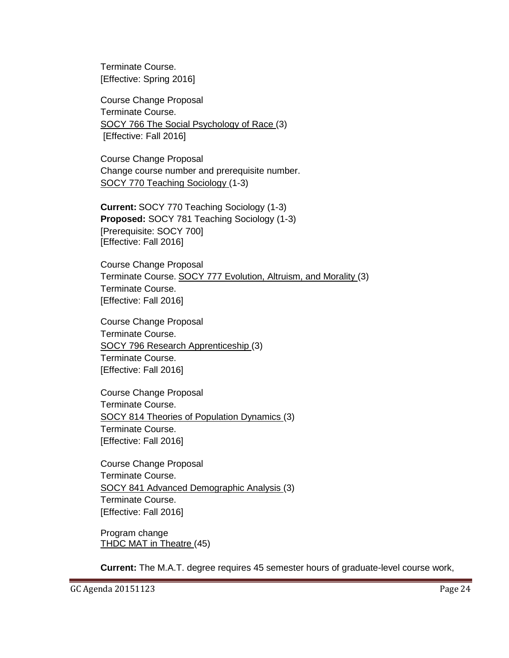Terminate Course. [Effective: Spring 2016]

Course Change Proposal Terminate Course. SOCY 766 The Social Psychology of Race (3) [Effective: Fall 2016]

Course Change Proposal Change course number and prerequisite number. SOCY 770 Teaching Sociology (1-3)

**Current:** SOCY 770 Teaching Sociology (1-3) **Proposed:** SOCY 781 Teaching Sociology (1-3) [Prerequisite: SOCY 700] [Effective: Fall 2016]

Course Change Proposal Terminate Course. SOCY 777 Evolution, Altruism, and Morality (3) Terminate Course. [Effective: Fall 2016]

Course Change Proposal Terminate Course. SOCY 796 Research Apprenticeship (3) Terminate Course. [Effective: Fall 2016]

Course Change Proposal Terminate Course. SOCY 814 Theories of Population Dynamics (3) Terminate Course. [Effective: Fall 2016]

Course Change Proposal Terminate Course. SOCY 841 Advanced Demographic Analysis (3) Terminate Course. [Effective: Fall 2016]

Program change THDC MAT in Theatre (45)

**Current:** The M.A.T. degree requires 45 semester hours of graduate-level course work,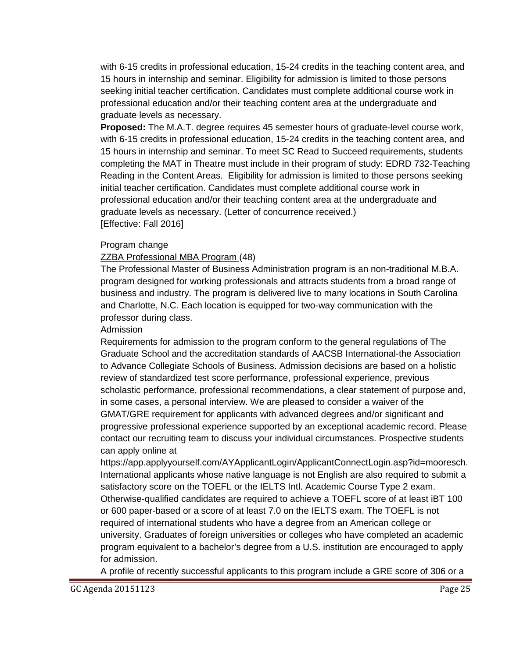with 6-15 credits in professional education, 15-24 credits in the teaching content area, and 15 hours in internship and seminar. Eligibility for admission is limited to those persons seeking initial teacher certification. Candidates must complete additional course work in professional education and/or their teaching content area at the undergraduate and graduate levels as necessary.

**Proposed:** The M.A.T. degree requires 45 semester hours of graduate-level course work, with 6-15 credits in professional education, 15-24 credits in the teaching content area, and 15 hours in internship and seminar. To meet SC Read to Succeed requirements, students completing the MAT in Theatre must include in their program of study: EDRD 732-Teaching Reading in the Content Areas. Eligibility for admission is limited to those persons seeking initial teacher certification. Candidates must complete additional course work in professional education and/or their teaching content area at the undergraduate and graduate levels as necessary. (Letter of concurrence received.) [Effective: Fall 2016]

### Program change

### ZZBA Professional MBA Program (48)

The Professional Master of Business Administration program is an non-traditional M.B.A. program designed for working professionals and attracts students from a broad range of business and industry. The program is delivered live to many locations in South Carolina and Charlotte, N.C. Each location is equipped for two-way communication with the professor during class.

#### Admission

Requirements for admission to the program conform to the general regulations of The Graduate School and the accreditation standards of AACSB International-the Association to Advance Collegiate Schools of Business. Admission decisions are based on a holistic review of standardized test score performance, professional experience, previous scholastic performance, professional recommendations, a clear statement of purpose and, in some cases, a personal interview. We are pleased to consider a waiver of the GMAT/GRE requirement for applicants with advanced degrees and/or significant and progressive professional experience supported by an exceptional academic record. Please contact our recruiting team to discuss your individual circumstances. Prospective students can apply online at

https://app.applyyourself.com/AYApplicantLogin/ApplicantConnectLogin.asp?id=mooresch. International applicants whose native language is not English are also required to submit a satisfactory score on the TOEFL or the IELTS Intl. Academic Course Type 2 exam. Otherwise-qualified candidates are required to achieve a TOEFL score of at least iBT 100 or 600 paper-based or a score of at least 7.0 on the IELTS exam. The TOEFL is not required of international students who have a degree from an American college or university. Graduates of foreign universities or colleges who have completed an academic program equivalent to a bachelor's degree from a U.S. institution are encouraged to apply for admission.

A profile of recently successful applicants to this program include a GRE score of 306 or a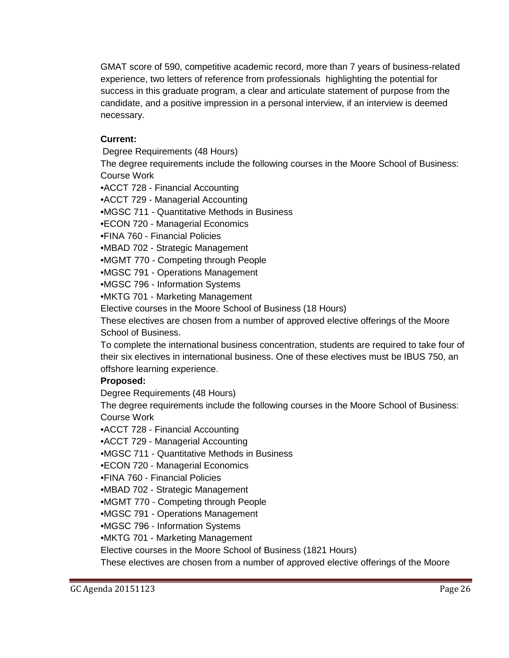GMAT score of 590, competitive academic record, more than 7 years of business-related experience, two letters of reference from professionals highlighting the potential for success in this graduate program, a clear and articulate statement of purpose from the candidate, and a positive impression in a personal interview, if an interview is deemed necessary.

## **Current:**

Degree Requirements (48 Hours)

The degree requirements include the following courses in the Moore School of Business: Course Work

•ACCT 728 - Financial Accounting

•ACCT 729 - Managerial Accounting

•MGSC 711 - Quantitative Methods in Business

•ECON 720 - Managerial Economics

•FINA 760 - Financial Policies

•MBAD 702 - Strategic Management

•MGMT 770 - Competing through People

•MGSC 791 - Operations Management

•MGSC 796 - Information Systems

•MKTG 701 - Marketing Management

Elective courses in the Moore School of Business (18 Hours)

These electives are chosen from a number of approved elective offerings of the Moore School of Business.

To complete the international business concentration, students are required to take four of their six electives in international business. One of these electives must be IBUS 750, an offshore learning experience.

## **Proposed:**

Degree Requirements (48 Hours)

The degree requirements include the following courses in the Moore School of Business: Course Work

•ACCT 728 - Financial Accounting

•ACCT 729 - Managerial Accounting

•MGSC 711 - Quantitative Methods in Business

•ECON 720 - Managerial Economics

•FINA 760 - Financial Policies

•MBAD 702 - Strategic Management

•MGMT 770 - Competing through People

•MGSC 791 - Operations Management

•MGSC 796 - Information Systems

•MKTG 701 - Marketing Management

Elective courses in the Moore School of Business (1821 Hours)

These electives are chosen from a number of approved elective offerings of the Moore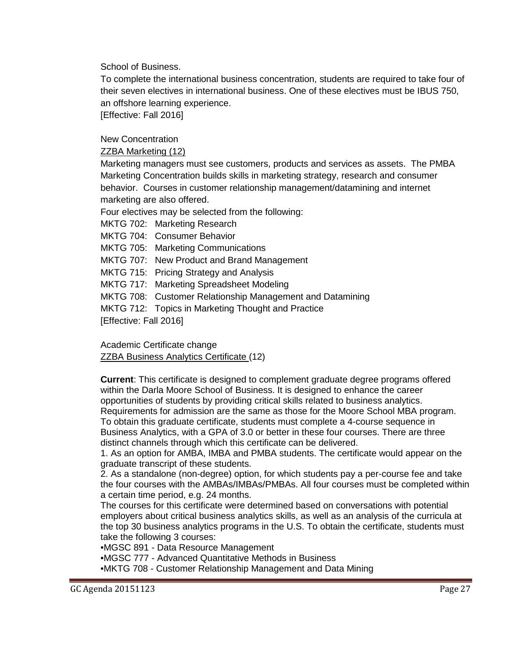School of Business.

To complete the international business concentration, students are required to take four of their seven electives in international business. One of these electives must be IBUS 750, an offshore learning experience.

[Effective: Fall 2016]

New Concentration

### ZZBA Marketing (12)

Marketing managers must see customers, products and services as assets. The PMBA Marketing Concentration builds skills in marketing strategy, research and consumer behavior. Courses in customer relationship management/datamining and internet marketing are also offered.

Four electives may be selected from the following:

MKTG 702: Marketing Research

MKTG 704: Consumer Behavior

MKTG 705: Marketing Communications

MKTG 707: New Product and Brand Management

MKTG 715: Pricing Strategy and Analysis

MKTG 717: Marketing Spreadsheet Modeling

MKTG 708: Customer Relationship Management and Datamining

MKTG 712: Topics in Marketing Thought and Practice

[Effective: Fall 2016]

Academic Certificate change ZZBA Business Analytics Certificate (12)

**Current**: This certificate is designed to complement graduate degree programs offered within the Darla Moore School of Business. It is designed to enhance the career opportunities of students by providing critical skills related to business analytics. Requirements for admission are the same as those for the Moore School MBA program. To obtain this graduate certificate, students must complete a 4-course sequence in Business Analytics, with a GPA of 3.0 or better in these four courses. There are three distinct channels through which this certificate can be delivered.

1. As an option for AMBA, IMBA and PMBA students. The certificate would appear on the graduate transcript of these students.

2. As a standalone (non-degree) option, for which students pay a per-course fee and take the four courses with the AMBAs/IMBAs/PMBAs. All four courses must be completed within a certain time period, e.g. 24 months.

The courses for this certificate were determined based on conversations with potential employers about critical business analytics skills, as well as an analysis of the curricula at the top 30 business analytics programs in the U.S. To obtain the certificate, students must take the following 3 courses:

•MGSC 891 - Data Resource Management

•MGSC 777 - Advanced Quantitative Methods in Business

•MKTG 708 - Customer Relationship Management and Data Mining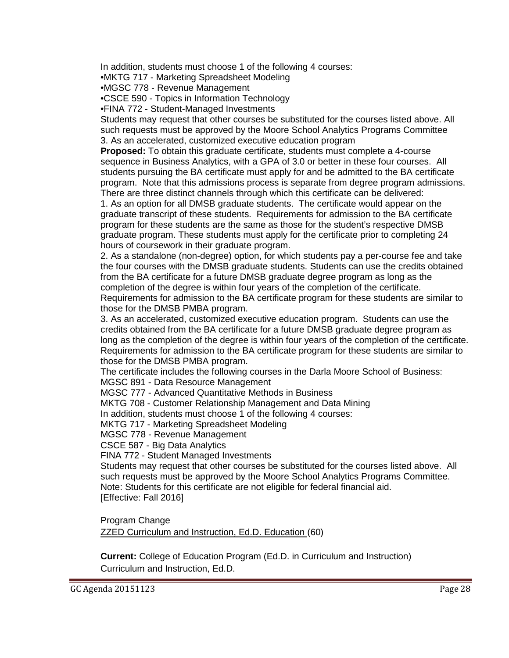In addition, students must choose 1 of the following 4 courses:

•MKTG 717 - Marketing Spreadsheet Modeling

•MGSC 778 - Revenue Management

•CSCE 590 - Topics in Information Technology

•FINA 772 - Student-Managed Investments

Students may request that other courses be substituted for the courses listed above. All such requests must be approved by the Moore School Analytics Programs Committee 3. As an accelerated, customized executive education program

**Proposed:** To obtain this graduate certificate, students must complete a 4-course sequence in Business Analytics, with a GPA of 3.0 or better in these four courses. All students pursuing the BA certificate must apply for and be admitted to the BA certificate program. Note that this admissions process is separate from degree program admissions. There are three distinct channels through which this certificate can be delivered:

1. As an option for all DMSB graduate students. The certificate would appear on the graduate transcript of these students. Requirements for admission to the BA certificate program for these students are the same as those for the student's respective DMSB graduate program. These students must apply for the certificate prior to completing 24 hours of coursework in their graduate program.

2. As a standalone (non-degree) option, for which students pay a per-course fee and take the four courses with the DMSB graduate students. Students can use the credits obtained from the BA certificate for a future DMSB graduate degree program as long as the completion of the degree is within four years of the completion of the certificate. Requirements for admission to the BA certificate program for these students are similar to those for the DMSB PMBA program.

3. As an accelerated, customized executive education program. Students can use the credits obtained from the BA certificate for a future DMSB graduate degree program as long as the completion of the degree is within four years of the completion of the certificate. Requirements for admission to the BA certificate program for these students are similar to those for the DMSB PMBA program.

The certificate includes the following courses in the Darla Moore School of Business: MGSC 891 - Data Resource Management

MGSC 777 - Advanced Quantitative Methods in Business

MKTG 708 - Customer Relationship Management and Data Mining

In addition, students must choose 1 of the following 4 courses:

MKTG 717 - Marketing Spreadsheet Modeling

MGSC 778 - Revenue Management

CSCE 587 - Big Data Analytics

FINA 772 - Student Managed Investments

Students may request that other courses be substituted for the courses listed above. All such requests must be approved by the Moore School Analytics Programs Committee. Note: Students for this certificate are not eligible for federal financial aid. [Effective: Fall 2016]

Program Change ZZED Curriculum and Instruction, Ed.D. Education (60)

**Current:** College of Education Program (Ed.D. in Curriculum and Instruction) Curriculum and Instruction, Ed.D.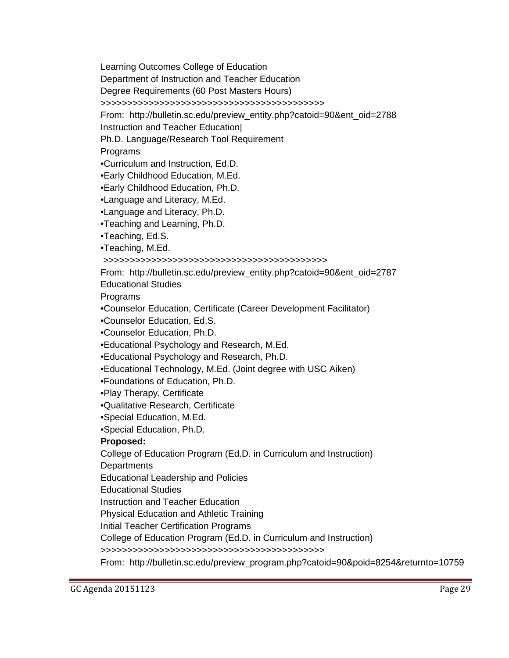Learning Outcomes College of Education

Department of Instruction and Teacher Education

Degree Requirements (60 Post Masters Hours)

>>>>>>>>>>>>>>>>>>>>>>>>>>>>>>>>>>>>>>>>>>

From: http://bulletin.sc.edu/preview\_entity.php?catoid=90&ent\_oid=2788

Instruction and Teacher Education|

Ph.D. Language/Research Tool Requirement

Programs

•Curriculum and Instruction, Ed.D.

•Early Childhood Education, M.Ed.

•Early Childhood Education, Ph.D.

•Language and Literacy, M.Ed.

•Language and Literacy, Ph.D.

•Teaching and Learning, Ph.D.

•Teaching, Ed.S.

•Teaching, M.Ed.

>>>>>>>>>>>>>>>>>>>>>>>>>>>>>>>>>>>>>>>>>>

From: http://bulletin.sc.edu/preview\_entity.php?catoid=90&ent\_oid=2787

Educational Studies

Programs

•Counselor Education, Certificate (Career Development Facilitator)

•Counselor Education, Ed.S.

•Counselor Education, Ph.D.

•Educational Psychology and Research, M.Ed.

•Educational Psychology and Research, Ph.D.

•Educational Technology, M.Ed. (Joint degree with USC Aiken)

•Foundations of Education, Ph.D.

•Play Therapy, Certificate

•Qualitative Research, Certificate

•Special Education, M.Ed.

•Special Education, Ph.D.

## **Proposed:**

College of Education Program (Ed.D. in Curriculum and Instruction)

**Departments** 

Educational Leadership and Policies

Educational Studies

Instruction and Teacher Education

Physical Education and Athletic Training

Initial Teacher Certification Programs

College of Education Program (Ed.D. in Curriculum and Instruction)

>>>>>>>>>>>>>>>>>>>>>>>>>>>>>>>>>>>>>>>>>>

From: http://bulletin.sc.edu/preview\_program.php?catoid=90&poid=8254&returnto=10759